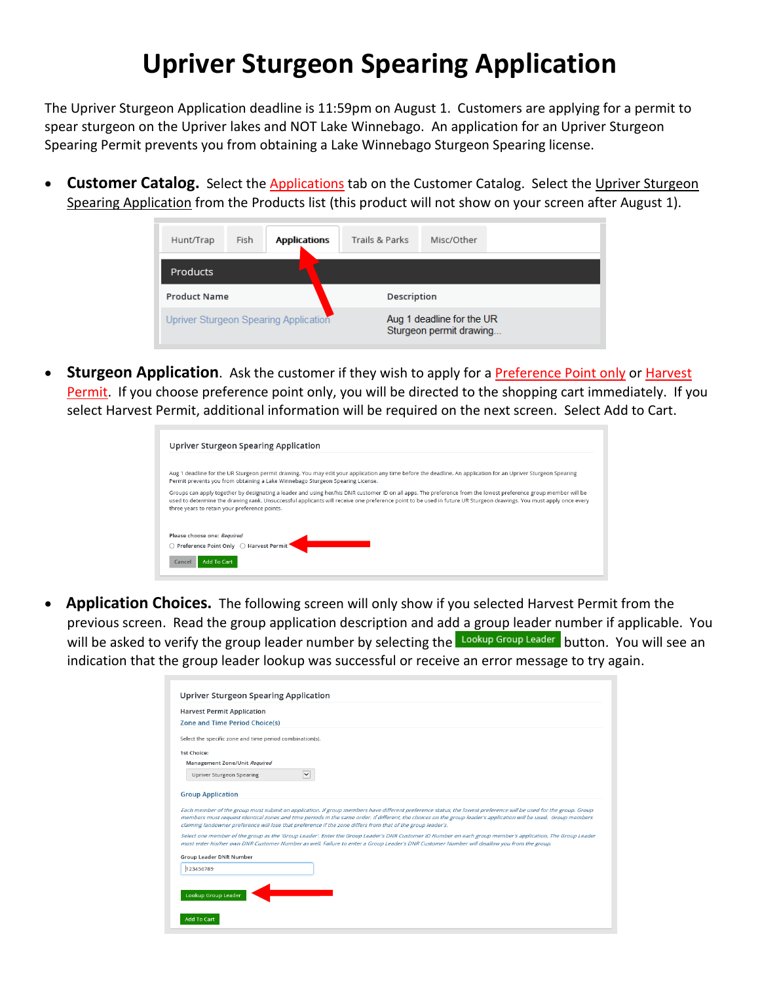## **Upriver Sturgeon Spearing Application**

The Upriver Sturgeon Application deadline is 11:59pm on August 1. Customers are applying for a permit to spear sturgeon on the Upriver lakes and NOT Lake Winnebago. An application for an Upriver Sturgeon Spearing Permit prevents you from obtaining a Lake Winnebago Sturgeon Spearing license.

• **Customer Catalog.** Select the Applications tab on the Customer Catalog. Select the Upriver Sturgeon Spearing Application from the Products list (this product will not show on your screen after August 1).

| Hunt/Trap           | Fish<br><b>Applications</b>           | Trails & Parks | Misc/Other                                           |  |  |  |  |
|---------------------|---------------------------------------|----------------|------------------------------------------------------|--|--|--|--|
| <b>Products</b>     |                                       |                |                                                      |  |  |  |  |
| <b>Product Name</b> |                                       |                | Description                                          |  |  |  |  |
|                     | Upriver Sturgeon Spearing Application |                | Aug 1 deadline for the UR<br>Sturgeon permit drawing |  |  |  |  |

**Sturgeon Application**. Ask the customer if they wish to apply for a **Preference Point only or Harvest** Permit. If you choose preference point only, you will be directed to the shopping cart immediately. If you select Harvest Permit, additional information will be required on the next screen. Select Add to Cart.

| Upriver Sturgeon Spearing Application                                                                                                                                                                                                                                                                                                                                                  |  |
|----------------------------------------------------------------------------------------------------------------------------------------------------------------------------------------------------------------------------------------------------------------------------------------------------------------------------------------------------------------------------------------|--|
| Aug 1 deadline for the UR Sturgeon permit drawing. You may edit your application any time before the deadline. An application for an Upriver Sturgeon Spearing<br>Permit prevents you from obtaining a Lake Winnebago Sturgeon Spearing License.                                                                                                                                       |  |
| Groups can apply together by designating a leader and using her/his DNR customer ID on all apps. The preference from the lowest preference group member will be<br>used to determine the drawing rank. Unsuccessful applicants will receive one preference point to be used in future UR Sturgeon drawings. You must apply once every<br>three years to retain your preference points. |  |
| Please choose one: Required<br>○ Preference Point Only ○ Harvest Permit<br>Add To Cart<br>Cancel                                                                                                                                                                                                                                                                                       |  |

• **Application Choices.** The following screen will only show if you selected Harvest Permit from the previous screen. Read the group application description and add a group leader number if applicable. You will be asked to verify the group leader number by selecting the Lookup Group Leader button. You will see an indication that the group leader lookup was successful or receive an error message to try again.

|                                                          | <b>Harvest Permit Application</b>                                                                                                                                                                                                                                                                                                                                                                                                                   |
|----------------------------------------------------------|-----------------------------------------------------------------------------------------------------------------------------------------------------------------------------------------------------------------------------------------------------------------------------------------------------------------------------------------------------------------------------------------------------------------------------------------------------|
| <b>Zone and Time Period Choice(s)</b>                    |                                                                                                                                                                                                                                                                                                                                                                                                                                                     |
| Select the specific zone and time period combination(s). |                                                                                                                                                                                                                                                                                                                                                                                                                                                     |
| 1st Choice:                                              |                                                                                                                                                                                                                                                                                                                                                                                                                                                     |
| Management Zone/Unit Required                            |                                                                                                                                                                                                                                                                                                                                                                                                                                                     |
| Upriver Sturgeon Spearing                                | $\overline{\mathsf{v}}$                                                                                                                                                                                                                                                                                                                                                                                                                             |
| <b>Group Application</b>                                 |                                                                                                                                                                                                                                                                                                                                                                                                                                                     |
|                                                          | Each member of the group must submit an application. If group members have different preference status, the lowest preference will be used for the group. Group<br>members must request identical zones and time periods in the same order. If different, the choices on the group leader's application will be used. Group members<br>claiming landowner preference will lose that preference if the zone differs from that of the group leader's. |
|                                                          | Select one member of the group as the 'Group Leader'. Enter the Group Leader's DNR Customer ID Number on each group member's application. The Group Leader<br>must enter his/her own DNR Customer Number as well. Failure to enter a Group Leader's DNR Customer Number will disallow you from the group.                                                                                                                                           |
| Group Leader DNR Number                                  |                                                                                                                                                                                                                                                                                                                                                                                                                                                     |
|                                                          |                                                                                                                                                                                                                                                                                                                                                                                                                                                     |
|                                                          |                                                                                                                                                                                                                                                                                                                                                                                                                                                     |
| 123456789                                                |                                                                                                                                                                                                                                                                                                                                                                                                                                                     |
| Lookup Group Leader                                      |                                                                                                                                                                                                                                                                                                                                                                                                                                                     |